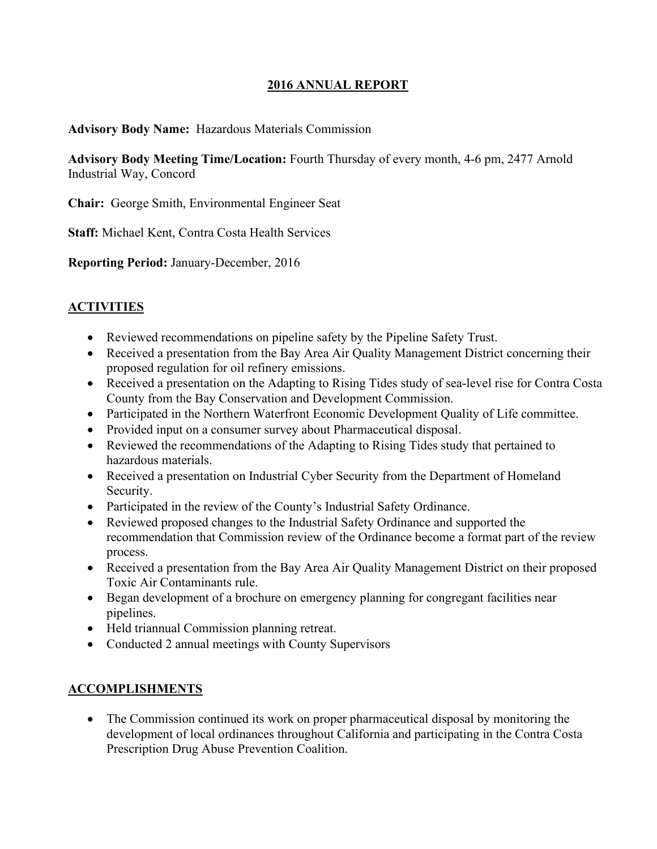### **2016 ANNUAL REPORT**

#### **Advisory Body Name:** Hazardous Materials Commission

**Advisory Body Meeting Time/Location:** Fourth Thursday of every month, 4-6 pm, 2477 Arnold Industrial Way, Concord

**Chair:** George Smith, Environmental Engineer Seat

**Staff:** Michael Kent, Contra Costa Health Services

**Reporting Period:** January-December, 2016

### **ACTIVITIES**

- Reviewed recommendations on pipeline safety by the Pipeline Safety Trust.
- Received a presentation from the Bay Area Air Quality Management District concerning their proposed regulation for oil refinery emissions.
- Received a presentation on the Adapting to Rising Tides study of sea-level rise for Contra Costa County from the Bay Conservation and Development Commission.
- Participated in the Northern Waterfront Economic Development Quality of Life committee.
- Provided input on a consumer survey about Pharmaceutical disposal.
- Reviewed the recommendations of the Adapting to Rising Tides study that pertained to hazardous materials.
- Received a presentation on Industrial Cyber Security from the Department of Homeland Security.
- Participated in the review of the County's Industrial Safety Ordinance.
- Reviewed proposed changes to the Industrial Safety Ordinance and supported the recommendation that Commission review of the Ordinance become a format part of the review process.
- Received a presentation from the Bay Area Air Quality Management District on their proposed Toxic Air Contaminants rule.
- Began development of a brochure on emergency planning for congregant facilities near pipelines.
- Held triannual Commission planning retreat.
- Conducted 2 annual meetings with County Supervisors

#### **ACCOMPLISHMENTS**

• The Commission continued its work on proper pharmaceutical disposal by monitoring the development of local ordinances throughout California and participating in the Contra Costa Prescription Drug Abuse Prevention Coalition.